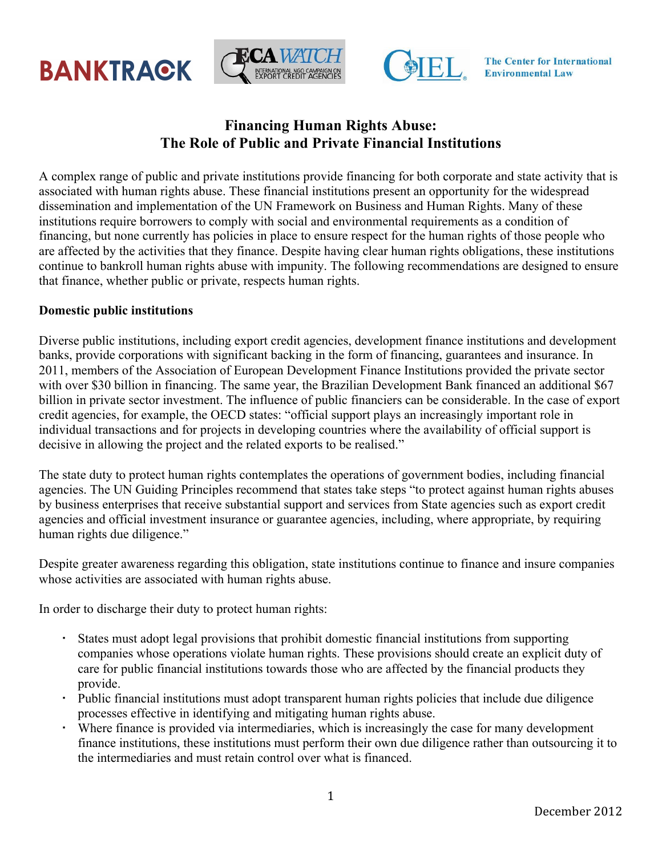





**The Center for International Environmental Law** 

## **Financing Human Rights Abuse: The Role of Public and Private Financial Institutions**

A complex range of public and private institutions provide financing for both corporate and state activity that is associated with human rights abuse. These financial institutions present an opportunity for the widespread dissemination and implementation of the UN Framework on Business and Human Rights. Many of these institutions require borrowers to comply with social and environmental requirements as a condition of financing, but none currently has policies in place to ensure respect for the human rights of those people who are affected by the activities that they finance. Despite having clear human rights obligations, these institutions continue to bankroll human rights abuse with impunity. The following recommendations are designed to ensure that finance, whether public or private, respects human rights.

## **Domestic public institutions**

Diverse public institutions, including export credit agencies, development finance institutions and development banks, provide corporations with significant backing in the form of financing, guarantees and insurance. In 2011, members of the Association of European Development Finance Institutions provided the private sector with over \$30 billion in financing. The same year, the Brazilian Development Bank financed an additional \$67 billion in private sector investment. The influence of public financiers can be considerable. In the case of export credit agencies, for example, the OECD states: "official support plays an increasingly important role in individual transactions and for projects in developing countries where the availability of official support is decisive in allowing the project and the related exports to be realised."

The state duty to protect human rights contemplates the operations of government bodies, including financial agencies. The UN Guiding Principles recommend that states take steps "to protect against human rights abuses by business enterprises that receive substantial support and services from State agencies such as export credit agencies and official investment insurance or guarantee agencies, including, where appropriate, by requiring human rights due diligence."

Despite greater awareness regarding this obligation, state institutions continue to finance and insure companies whose activities are associated with human rights abuse.

In order to discharge their duty to protect human rights:

- States must adopt legal provisions that prohibit domestic financial institutions from supporting companies whose operations violate human rights. These provisions should create an explicit duty of care for public financial institutions towards those who are affected by the financial products they provide.
- Public financial institutions must adopt transparent human rights policies that include due diligence processes effective in identifying and mitigating human rights abuse.
- Where finance is provided via intermediaries, which is increasingly the case for many development finance institutions, these institutions must perform their own due diligence rather than outsourcing it to the intermediaries and must retain control over what is financed.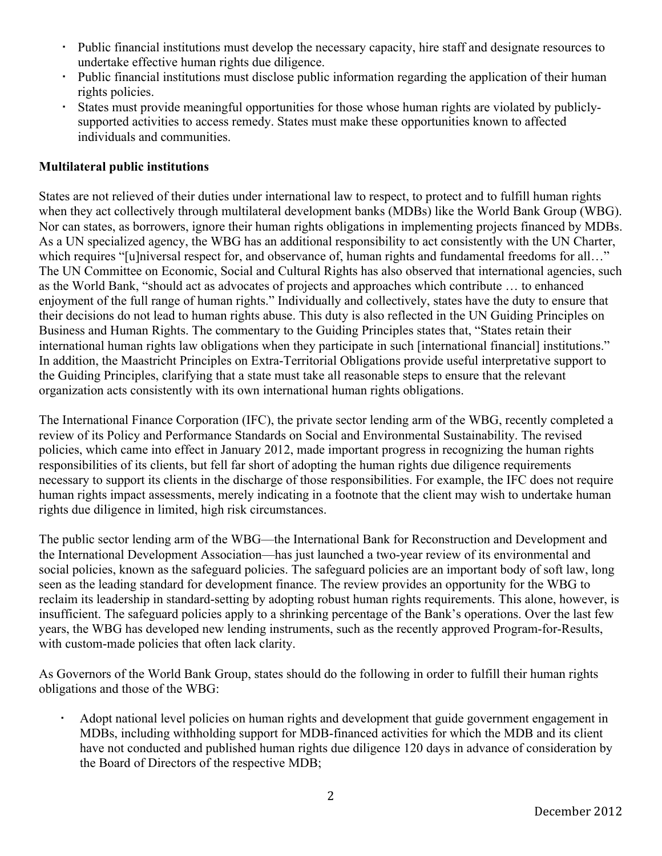- Public financial institutions must develop the necessary capacity, hire staff and designate resources to undertake effective human rights due diligence.
- Public financial institutions must disclose public information regarding the application of their human rights policies.
- States must provide meaningful opportunities for those whose human rights are violated by publiclysupported activities to access remedy. States must make these opportunities known to affected individuals and communities.

## **Multilateral public institutions**

States are not relieved of their duties under international law to respect, to protect and to fulfill human rights when they act collectively through multilateral development banks (MDBs) like the World Bank Group (WBG). Nor can states, as borrowers, ignore their human rights obligations in implementing projects financed by MDBs. As a UN specialized agency, the WBG has an additional responsibility to act consistently with the UN Charter, which requires "[u]niversal respect for, and observance of, human rights and fundamental freedoms for all..." The UN Committee on Economic, Social and Cultural Rights has also observed that international agencies, such as the World Bank, "should act as advocates of projects and approaches which contribute … to enhanced enjoyment of the full range of human rights." Individually and collectively, states have the duty to ensure that their decisions do not lead to human rights abuse. This duty is also reflected in the UN Guiding Principles on Business and Human Rights. The commentary to the Guiding Principles states that, "States retain their international human rights law obligations when they participate in such [international financial] institutions." In addition, the Maastricht Principles on Extra-Territorial Obligations provide useful interpretative support to the Guiding Principles, clarifying that a state must take all reasonable steps to ensure that the relevant organization acts consistently with its own international human rights obligations.

The International Finance Corporation (IFC), the private sector lending arm of the WBG, recently completed a review of its Policy and Performance Standards on Social and Environmental Sustainability. The revised policies, which came into effect in January 2012, made important progress in recognizing the human rights responsibilities of its clients, but fell far short of adopting the human rights due diligence requirements necessary to support its clients in the discharge of those responsibilities. For example, the IFC does not require human rights impact assessments, merely indicating in a footnote that the client may wish to undertake human rights due diligence in limited, high risk circumstances.

The public sector lending arm of the WBG—the International Bank for Reconstruction and Development and the International Development Association—has just launched a two-year review of its environmental and social policies, known as the safeguard policies. The safeguard policies are an important body of soft law, long seen as the leading standard for development finance. The review provides an opportunity for the WBG to reclaim its leadership in standard-setting by adopting robust human rights requirements. This alone, however, is insufficient. The safeguard policies apply to a shrinking percentage of the Bank's operations. Over the last few years, the WBG has developed new lending instruments, such as the recently approved Program-for-Results, with custom-made policies that often lack clarity.

As Governors of the World Bank Group, states should do the following in order to fulfill their human rights obligations and those of the WBG:

 Adopt national level policies on human rights and development that guide government engagement in MDBs, including withholding support for MDB-financed activities for which the MDB and its client have not conducted and published human rights due diligence 120 days in advance of consideration by the Board of Directors of the respective MDB;